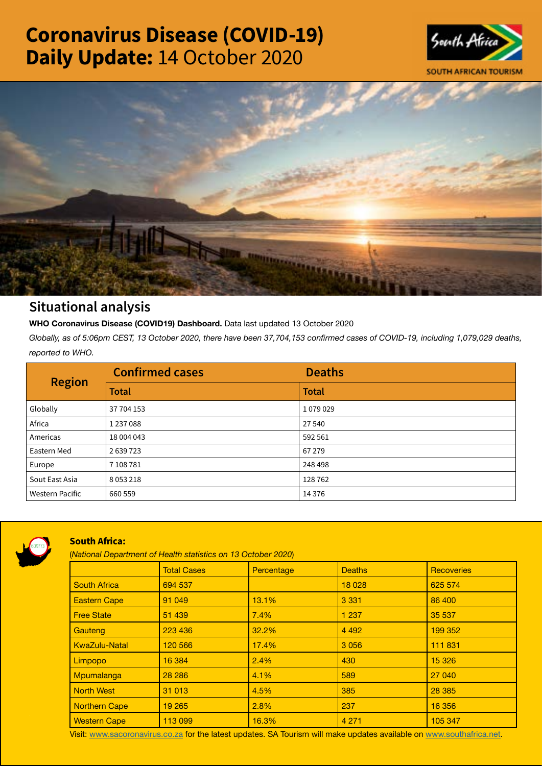# Coronavirus Disease (COVID-19) Daily Update: 14 October 2020





## Situational analysis

**WHO Coronavirus Disease (COVID19) Dashboard.** Data last updated 13 October 2020

*Globally, as of 5:06pm CEST, 13 October 2020, there have been 37,704,153 confirmed cases of COVID-19, including 1,079,029 deaths, reported to WHO.*

| <b>Region</b>          | <b>Confirmed cases</b> | <b>Deaths</b> |
|------------------------|------------------------|---------------|
|                        | <b>Total</b>           | <b>Total</b>  |
| Globally               | 37 704 153             | 1079029       |
| Africa                 | 1237088                | 27 540        |
| Americas               | 18 004 043             | 592 561       |
| Eastern Med            | 2639723                | 67 279        |
| Europe                 | 7 108 781              | 248 498       |
| Sout East Asia         | 8053218                | 128762        |
| <b>Western Pacific</b> | 660 559                | 14 3 76       |



### South Africa:

(*National Department of Health statistics on 13 October 2020*)

|                      | <b>Total Cases</b> | Percentage | <b>Deaths</b> | <b>Recoveries</b> |  |  |
|----------------------|--------------------|------------|---------------|-------------------|--|--|
| <b>South Africa</b>  | 694 537            |            | 18 0 28       | 625 574           |  |  |
| <b>Eastern Cape</b>  | 91 049             | 13.1%      | 3 3 3 1       | 86 400            |  |  |
| <b>Free State</b>    | 51 439             | 7.4%       | 1 2 3 7       | 35 537            |  |  |
| Gauteng              | 223 436            | 32.2%      | 4 4 9 2       | 199 352           |  |  |
| <b>KwaZulu-Natal</b> | 120 566            | 17.4%      | 3 0 5 6       | 111 831           |  |  |
| Limpopo              | 16 384             | 2.4%       | 430           | 15 3 26           |  |  |
| Mpumalanga           | 28 28 6            | 4.1%       | 589           | 27 040            |  |  |
| <b>North West</b>    | 31 013             | 4.5%       | 385           | 28 3 8 5          |  |  |
| <b>Northern Cape</b> | 19 265             | 2.8%       | 237           | 16 356            |  |  |
| <b>Western Cape</b>  | 113 099            | 16.3%      | 4 2 7 1       | 105 347           |  |  |

Visit: [www.sacoronavirus.co.za](http://www.sacoronavirus.co.za) for the latest updates. SA Tourism will make updates available on [www.southafrica.net.](http://www.southafrica.net)